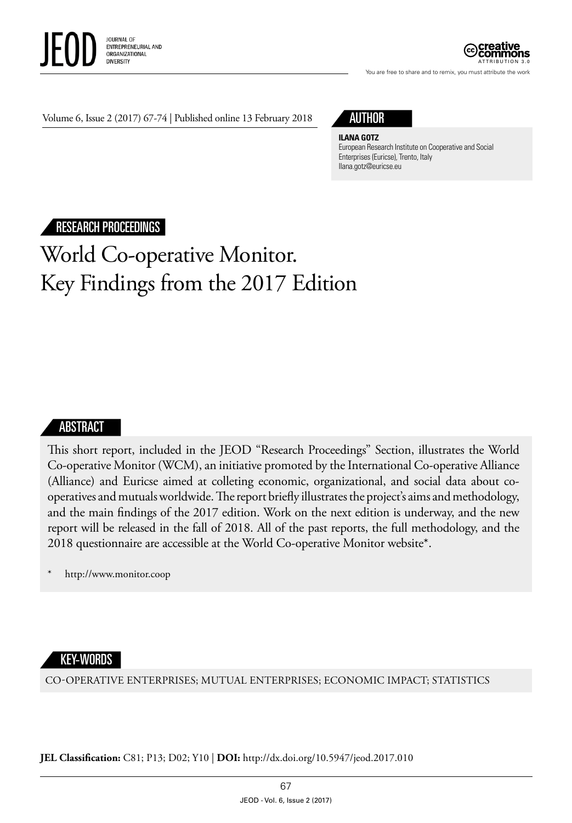



You are free to share and to remix, you must attribute the work

Volume 6, Issue 2 (2017) 67-74 | Published online 13 February 2018

## AUTHOR

#### **ILANA GOTZ**

European Research Institute on Cooperative and Social Enterprises (Euricse), Trento, Italy [Ilana.gotz@euricse.eu](mailto:Ilana.gotz@euricse.eu)

## RESEARCH PROCEEDINGS

# World Co-operative Monitor. Key Findings from the 2017 Edition

### ABSTRACT

This short report, included in the JEOD "Research Proceedings" Section, illustrates the World Co-operative Monitor (WCM), an initiative promoted by the International Co-operative Alliance (Alliance) and Euricse aimed at colleting economic, organizational, and social data about cooperatives and mutuals worldwide. The report briefly illustrates the project's aims and methodology, and the main findings of the 2017 edition. Work on the next edition is underway, and the new report will be released in the fall of 2018. All of the past reports, the full methodology, and the 2018 questionnaire are accessible at the World Co-operative Monitor website\*.

<http://www.monitor.coop>

#### KEY-WORDS

CO-OPERATIVE ENTERPRISES; MUTUAL ENTERPRISES; ECONOMIC IMPACT; STATISTICS

**JEL Classification:** C81; P13; D02; Y10 | **DOI:** <http://dx.doi.org/10.5947/jeod.2017.010>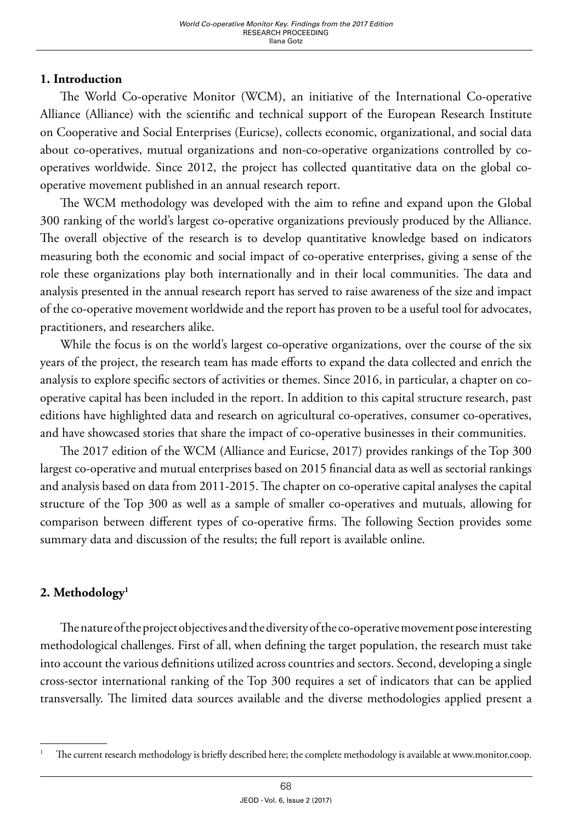## **1. Introduction**

The World Co-operative Monitor (WCM), an initiative of the International Co-operative Alliance (Alliance) with the scientific and technical support of the European Research Institute on Cooperative and Social Enterprises (Euricse), collects economic, organizational, and social data about co-operatives, mutual organizations and non-co-operative organizations controlled by cooperatives worldwide. Since 2012, the project has collected quantitative data on the global cooperative movement published in an annual research report.

The WCM methodology was developed with the aim to refine and expand upon the Global 300 ranking of the world's largest co-operative organizations previously produced by the Alliance. The overall objective of the research is to develop quantitative knowledge based on indicators measuring both the economic and social impact of co-operative enterprises, giving a sense of the role these organizations play both internationally and in their local communities. The data and analysis presented in the annual research report has served to raise awareness of the size and impact of the co-operative movement worldwide and the report has proven to be a useful tool for advocates, practitioners, and researchers alike.

While the focus is on the world's largest co-operative organizations, over the course of the six years of the project, the research team has made efforts to expand the data collected and enrich the analysis to explore specific sectors of activities or themes. Since 2016, in particular, a chapter on cooperative capital has been included in the report. In addition to this capital structure research, past editions have highlighted data and research on agricultural co-operatives, consumer co-operatives, and have showcased stories that share the impact of co-operative businesses in their communities.

The 2017 edition of the WCM (Alliance and Euricse, 2017) provides rankings of the Top 300 largest co-operative and mutual enterprises based on 2015 financial data as well as sectorial rankings and analysis based on data from 2011-2015. The chapter on co-operative capital analyses the capital structure of the Top 300 as well as a sample of smaller co-operatives and mutuals, allowing for comparison between different types of co-operative firms. The following Section provides some summary data and discussion of the results; the full report is available online.

## **2. Methodology1**

The nature of the project objectives and the diversity of the co-operative movement pose interesting methodological challenges. First of all, when defining the target population, the research must take into account the various definitions utilized across countries and sectors. Second, developing a single cross-sector international ranking of the Top 300 requires a set of indicators that can be applied transversally. The limited data sources available and the diverse methodologies applied present a

<sup>1</sup> The current research methodology is briefly described here; the complete methodology is available at [www.monitor.coop](http://www.monitor.coop).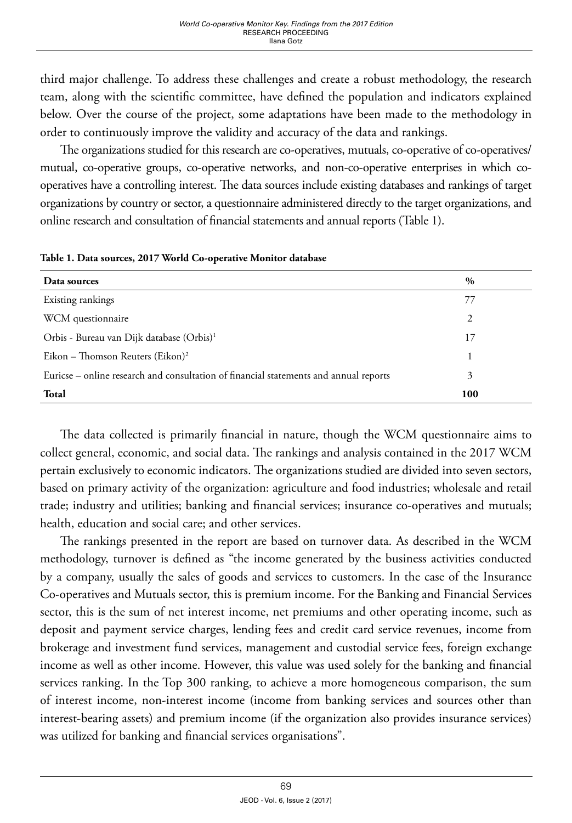third major challenge. To address these challenges and create a robust methodology, the research team, along with the scientific committee, have defined the population and indicators explained below. Over the course of the project, some adaptations have been made to the methodology in order to continuously improve the validity and accuracy of the data and rankings.

The organizations studied for this research are co-operatives, mutuals, co-operative of co-operatives/ mutual, co-operative groups, co-operative networks, and non-co-operative enterprises in which cooperatives have a controlling interest. The data sources include existing databases and rankings of target organizations by country or sector, a questionnaire administered directly to the target organizations, and online research and consultation of financial statements and annual reports (Table 1).

| Data sources                                                                          | $\%$ |
|---------------------------------------------------------------------------------------|------|
| Existing rankings                                                                     |      |
| WCM questionnaire                                                                     | 2    |
| Orbis - Bureau van Dijk database (Orbis) <sup>1</sup>                                 | 17   |
| Eikon – Thomson Reuters (Eikon) <sup>2</sup>                                          |      |
| Euricse - online research and consultation of financial statements and annual reports | 3    |
| Total                                                                                 | 100  |

**Table 1. Data sources, 2017 World Co-operative Monitor database**

The data collected is primarily financial in nature, though the WCM questionnaire aims to collect general, economic, and social data. The rankings and analysis contained in the 2017 WCM pertain exclusively to economic indicators. The organizations studied are divided into seven sectors, based on primary activity of the organization: agriculture and food industries; wholesale and retail trade; industry and utilities; banking and financial services; insurance co-operatives and mutuals; health, education and social care; and other services.

The rankings presented in the report are based on turnover data. As described in the WCM methodology, turnover is defined as "the income generated by the business activities conducted by a company, usually the sales of goods and services to customers. In the case of the Insurance Co-operatives and Mutuals sector, this is premium income. For the Banking and Financial Services sector, this is the sum of net interest income, net premiums and other operating income, such as deposit and payment service charges, lending fees and credit card service revenues, income from brokerage and investment fund services, management and custodial service fees, foreign exchange income as well as other income. However, this value was used solely for the banking and financial services ranking. In the Top 300 ranking, to achieve a more homogeneous comparison, the sum of interest income, non-interest income (income from banking services and sources other than interest-bearing assets) and premium income (if the organization also provides insurance services) was utilized for banking and financial services organisations".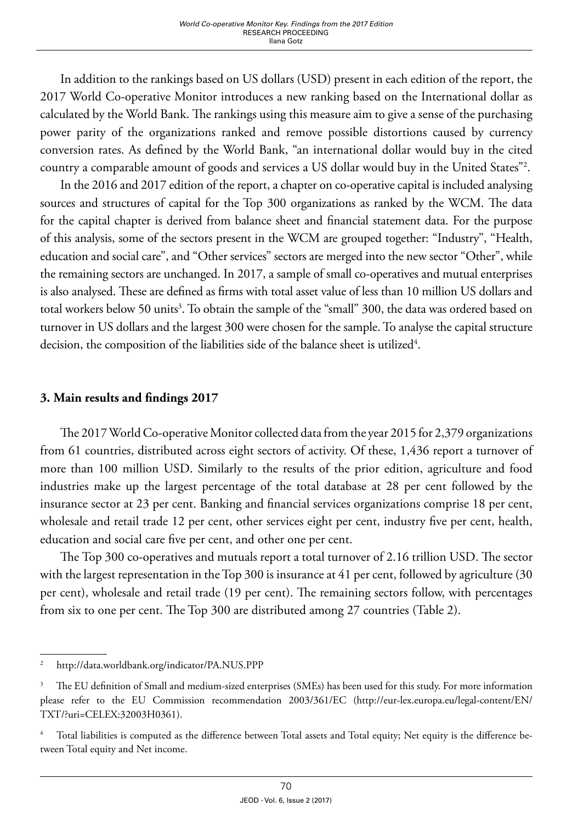In addition to the rankings based on US dollars (USD) present in each edition of the report, the 2017 World Co-operative Monitor introduces a new ranking based on the International dollar as calculated by the World Bank. The rankings using this measure aim to give a sense of the purchasing power parity of the organizations ranked and remove possible distortions caused by currency conversion rates. As defined by the World Bank, "an international dollar would buy in the cited country a comparable amount of goods and services a US dollar would buy in the United States"2 .

In the 2016 and 2017 edition of the report, a chapter on co-operative capital is included analysing sources and structures of capital for the Top 300 organizations as ranked by the WCM. The data for the capital chapter is derived from balance sheet and financial statement data. For the purpose of this analysis, some of the sectors present in the WCM are grouped together: "Industry", "Health, education and social care", and "Other services" sectors are merged into the new sector "Other", while the remaining sectors are unchanged. In 2017, a sample of small co-operatives and mutual enterprises is also analysed. These are defined as firms with total asset value of less than 10 million US dollars and total workers below 50 units<sup>3</sup>. To obtain the sample of the "small" 300, the data was ordered based on turnover in US dollars and the largest 300 were chosen for the sample. To analyse the capital structure decision, the composition of the liabilities side of the balance sheet is utilized $^4$ .

### **3. Main results and findings 2017**

The 2017 World Co-operative Monitor collected data from the year 2015 for 2,379 organizations from 61 countries, distributed across eight sectors of activity. Of these, 1,436 report a turnover of more than 100 million USD. Similarly to the results of the prior edition, agriculture and food industries make up the largest percentage of the total database at 28 per cent followed by the insurance sector at 23 per cent. Banking and financial services organizations comprise 18 per cent, wholesale and retail trade 12 per cent, other services eight per cent, industry five per cent, health, education and social care five per cent, and other one per cent.

The Top 300 co-operatives and mutuals report a total turnover of 2.16 trillion USD. The sector with the largest representation in the Top 300 is insurance at 41 per cent, followed by agriculture (30 per cent), wholesale and retail trade (19 per cent). The remaining sectors follow, with percentages from six to one per cent. The Top 300 are distributed among 27 countries (Table 2).

<sup>2</sup> http://data.worldbank.org/indicator/PA.NUS.PPP

<sup>&</sup>lt;sup>3</sup> The EU definition of Small and medium-sized enterprises (SMEs) has been used for this study. For more information please refer to the EU Commission recommendation 2003/361/EC [\(http://eur-lex.europa.eu/legal-content/EN/](http://eur-lex.europa.eu/legal-content/EN/TXT/?uri=CELEX:32003H0361) [TXT/?uri=CELEX:32003H0361\)](http://eur-lex.europa.eu/legal-content/EN/TXT/?uri=CELEX:32003H0361).

Total liabilities is computed as the difference between Total assets and Total equity; Net equity is the difference between Total equity and Net income.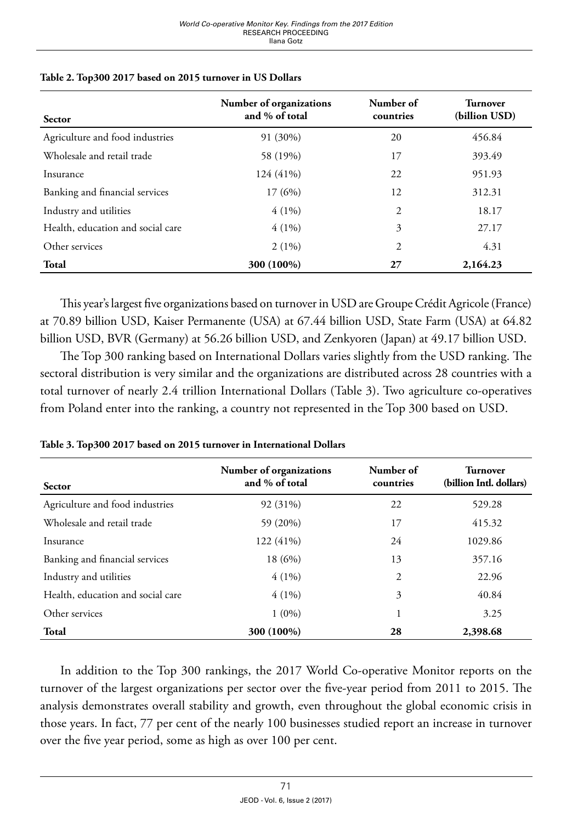| <b>Sector</b>                     | Number of organizations<br>and % of total | Number of<br>countries | <b>Turnover</b><br>(billion USD) |
|-----------------------------------|-------------------------------------------|------------------------|----------------------------------|
| Agriculture and food industries   | 91 (30%)                                  | 20                     | 456.84                           |
| Wholesale and retail trade        | 58 (19%)                                  | 17                     | 393.49                           |
| Insurance                         | 124 (41%)                                 | 22                     | 951.93                           |
| Banking and financial services    | 17(6%)                                    | 12                     | 312.31                           |
| Industry and utilities            | $4(1\%)$                                  | 2                      | 18.17                            |
| Health, education and social care | $4(1\%)$                                  | 3                      | 27.17                            |
| Other services                    | $2(1\%)$                                  | 2                      | 4.31                             |
| Total                             | 300 (100%)                                | 27                     | 2,164.23                         |

#### **Table 2. Top300 2017 based on 2015 turnover in US Dollars**

This year's largest five organizations based on turnover in USD are Groupe Crédit Agricole (France) at 70.89 billion USD, Kaiser Permanente (USA) at 67.44 billion USD, State Farm (USA) at 64.82 billion USD, BVR (Germany) at 56.26 billion USD, and Zenkyoren (Japan) at 49.17 billion USD.

The Top 300 ranking based on International Dollars varies slightly from the USD ranking. The sectoral distribution is very similar and the organizations are distributed across 28 countries with a total turnover of nearly 2.4 trillion International Dollars (Table 3). Two agriculture co-operatives from Poland enter into the ranking, a country not represented in the Top 300 based on USD.

| <b>Sector</b>                     | Number of organizations<br>and % of total | Number of<br>countries | <b>Turnover</b><br>(billion Intl. dollars) |
|-----------------------------------|-------------------------------------------|------------------------|--------------------------------------------|
| Agriculture and food industries   | 92 (31%)                                  | 22                     | 529.28                                     |
| Wholesale and retail trade        | 59 (20%)                                  | 17                     | 415.32                                     |
| Insurance                         | 122 (41%)                                 | 24                     | 1029.86                                    |
| Banking and financial services    | 18 (6%)                                   | 13                     | 357.16                                     |
| Industry and utilities            | $4(1\%)$                                  | 2                      | 22.96                                      |
| Health, education and social care | $4(1\%)$                                  | 3                      | 40.84                                      |
| Other services                    | $1(0\%)$                                  | 1                      | 3.25                                       |
| Total                             | 300 (100%)                                | 28                     | 2,398.68                                   |

|  |  | Table 3. Top300 2017 based on 2015 turnover in International Dollars |
|--|--|----------------------------------------------------------------------|
|--|--|----------------------------------------------------------------------|

In addition to the Top 300 rankings, the 2017 World Co-operative Monitor reports on the turnover of the largest organizations per sector over the five-year period from 2011 to 2015. The analysis demonstrates overall stability and growth, even throughout the global economic crisis in those years. In fact, 77 per cent of the nearly 100 businesses studied report an increase in turnover over the five year period, some as high as over 100 per cent.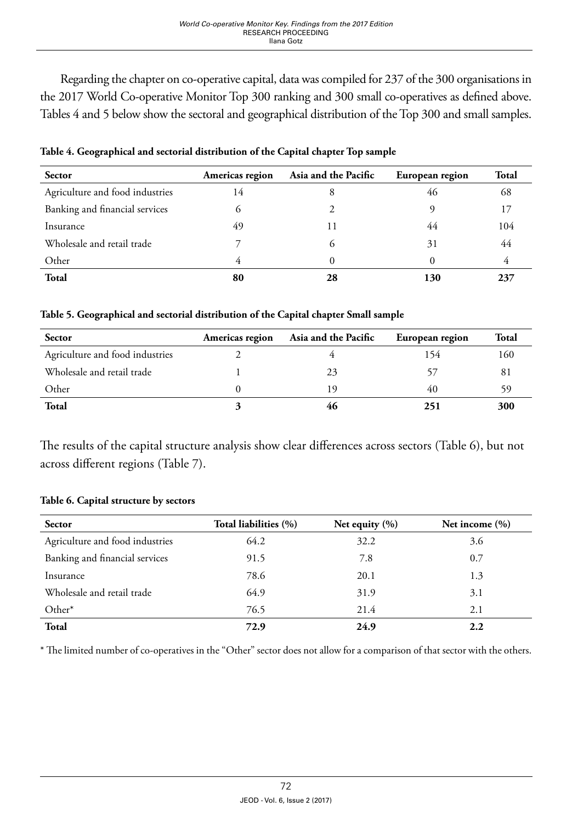Regarding the chapter on co-operative capital, data was compiled for 237 of the 300 organisations in the 2017 World Co-operative Monitor Top 300 ranking and 300 small co-operatives as defined above. Tables 4 and 5 below show the sectoral and geographical distribution of the Top 300 and small samples.

| <b>Sector</b>                   | Americas region | Asia and the Pacific | European region | Total |
|---------------------------------|-----------------|----------------------|-----------------|-------|
| Agriculture and food industries | 14              | 8                    | 46              | 68    |
| Banking and financial services  |                 |                      |                 |       |
| Insurance                       | 49              | 11                   | 44              | 104   |
| Wholesale and retail trade      |                 | $\mathfrak{g}$       | 31              | 44    |
| Other                           |                 |                      | 0               | 4     |
| <b>Total</b>                    | 80              | 28                   | 130             | 237   |

**Table 4. Geographical and sectorial distribution of the Capital chapter Top sample**

#### **Table 5. Geographical and sectorial distribution of the Capital chapter Small sample**

| <b>Sector</b>                   | Americas region | Asia and the Pacific | European region | Total |
|---------------------------------|-----------------|----------------------|-----------------|-------|
| Agriculture and food industries |                 |                      | 154             | 160   |
| Wholesale and retail trade      |                 | 23                   |                 | 81    |
| Other                           |                 | 19                   | 40              |       |
| Total                           |                 | 46                   | 251             | 300   |

The results of the capital structure analysis show clear differences across sectors (Table 6), but not across different regions (Table 7).

#### **Table 6. Capital structure by sectors**

| <b>Sector</b>                   | Total liabilities (%) | Net equity $(\% )$ | Net income $(\% )$ |
|---------------------------------|-----------------------|--------------------|--------------------|
| Agriculture and food industries | 64.2                  | 32.2               | 3.6                |
| Banking and financial services  | 91.5                  | 7.8                | 0.7                |
| Insurance                       | 78.6                  | 20.1               | 1.3                |
| Wholesale and retail trade      | 64.9                  | 31.9               | 3.1                |
| Other*                          | 76.5                  | 21.4               | 2.1                |
| <b>Total</b>                    | 72.9                  | 24.9               | 2.2                |

\* The limited number of co-operatives in the "Other" sector does not allow for a comparison of that sector with the others.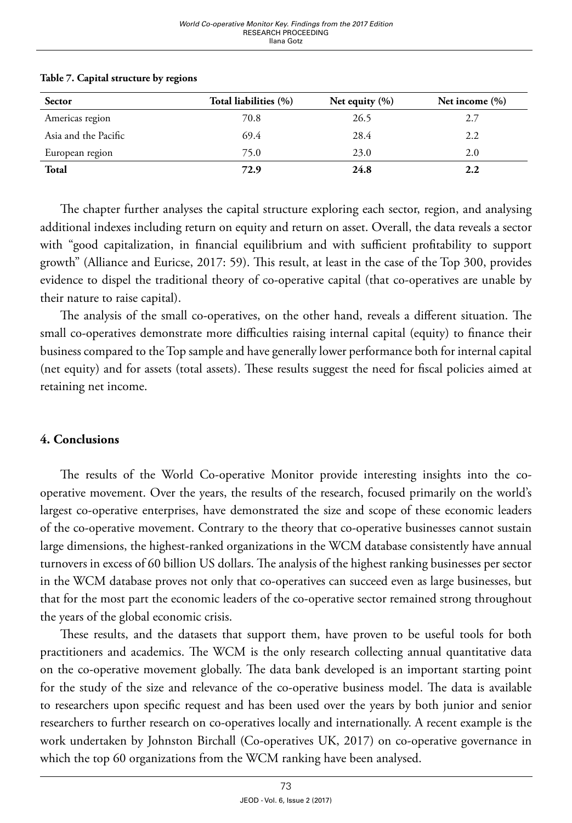| <b>Sector</b>        | Total liabilities (%) | Net equity $(\% )$ | Net income $(\% )$ |
|----------------------|-----------------------|--------------------|--------------------|
| Americas region      | 70.8                  | 26.5               | 2.7                |
| Asia and the Pacific | 69.4                  | 28.4               | 2.2                |
| European region      | 75.0                  | 23.0               | 2.0                |
| Total                | 72.9                  | 24.8               | 2.2                |

#### **Table 7. Capital structure by regions**

The chapter further analyses the capital structure exploring each sector, region, and analysing additional indexes including return on equity and return on asset. Overall, the data reveals a sector with "good capitalization, in financial equilibrium and with sufficient profitability to support growth" (Alliance and Euricse, 2017: 59). This result, at least in the case of the Top 300, provides evidence to dispel the traditional theory of co-operative capital (that co-operatives are unable by their nature to raise capital).

The analysis of the small co-operatives, on the other hand, reveals a different situation. The small co-operatives demonstrate more difficulties raising internal capital (equity) to finance their business compared to the Top sample and have generally lower performance both for internal capital (net equity) and for assets (total assets). These results suggest the need for fiscal policies aimed at retaining net income.

#### **4. Conclusions**

The results of the World Co-operative Monitor provide interesting insights into the cooperative movement. Over the years, the results of the research, focused primarily on the world's largest co-operative enterprises, have demonstrated the size and scope of these economic leaders of the co-operative movement. Contrary to the theory that co-operative businesses cannot sustain large dimensions, the highest-ranked organizations in the WCM database consistently have annual turnovers in excess of 60 billion US dollars. The analysis of the highest ranking businesses per sector in the WCM database proves not only that co-operatives can succeed even as large businesses, but that for the most part the economic leaders of the co-operative sector remained strong throughout the years of the global economic crisis.

These results, and the datasets that support them, have proven to be useful tools for both practitioners and academics. The WCM is the only research collecting annual quantitative data on the co-operative movement globally. The data bank developed is an important starting point for the study of the size and relevance of the co-operative business model. The data is available to researchers upon specific request and has been used over the years by both junior and senior researchers to further research on co-operatives locally and internationally. A recent example is the work undertaken by Johnston Birchall (Co-operatives UK, 2017) on co-operative governance in which the top 60 organizations from the WCM ranking have been analysed.